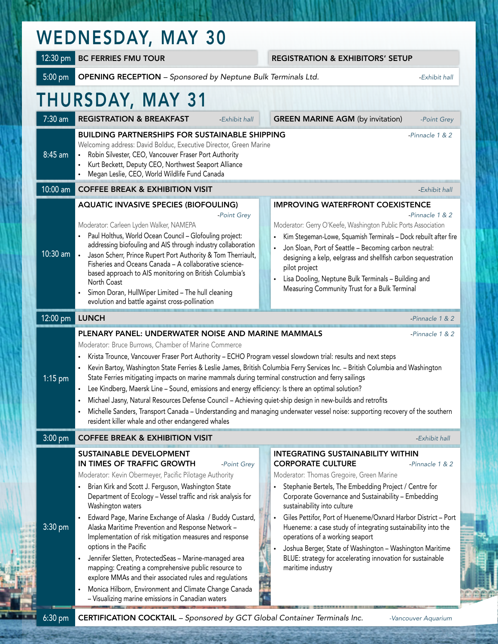| <b>WEDNESDAY, MAY 30</b> |  |  |
|--------------------------|--|--|
|--------------------------|--|--|

7:30 am REGISTRATION & BREAKFAST *-Exhibit hall* GREEN MARINE AGM (by invitation) *-Point Grey* 8:45 am BUILDING PARTNERSHIPS FOR SUSTAINABLE SHIPPING *Physical American -Pinnacle 1 & 2* Welcoming address: David Bolduc, Executive Director, Green Marine **•** Robin Silvester, CEO, Vancouver Fraser Port Authority **•** Kurt Beckett, Deputy CEO, Northwest Seaport Alliance **•** Megan Leslie, CEO, World Wildlife Fund Canada **10:00 am COFFEE BREAK & EXHIBITION VISIT All and the Contract of Contract Contract Contract Contract Contract Contract Contract Contract Contract Contract Contract Contract Contract Contract Contract Contract Contract C** 10:30 am AQUATIC INVASIVE SPECIES (BIOFOULING) *-Point Grey* Moderator: Carleen Lyden Walker, NAMEPA **•** Paul Holthus, World Ocean Council – Glofouling project: addressing biofouling and AIS through industry collaboration **•** Jason Scherr, Prince Rupert Port Authority & Tom Therriault, Fisheries and Oceans Canada – A collaborative sciencebased approach to AIS monitoring on British Columbia's North Coast **•** Simon Doran, HullWiper Limited – The hull cleaning evolution and battle against cross-pollination IMPROVING WATERFRONT COEXISTENCE *-Pinnacle 1 & 2* Moderator: Gerry O'Keefe, Washington Public Ports Association **•** Kim Stegeman-Lowe, Squamish Terminals – Dock rebuilt after fire **•** Jon Sloan, Port of Seattle – Becoming carbon neutral: designing a kelp, eelgrass and shellfish carbon sequestration pilot project **•** Lisa Dooling, Neptune Bulk Terminals – Building and Measuring Community Trust for a Bulk Terminal 12:00 pm LUNCH *-Pinnacle 1 & 2* 1:15 pm PLENARY PANEL: UNDERWATER NOISE AND MARINE MAMMALS *-Pinnacle 1 & 2* Moderator: Bruce Burrows, Chamber of Marine Commerce **•** Krista Trounce, Vancouver Fraser Port Authority – ECHO Program vessel slowdown trial: results and next steps **•** Kevin Bartoy, Washington State Ferries & Leslie James, British Columbia Ferry Services Inc. – British Columbia and Washington State Ferries mitigating impacts on marine mammals during terminal construction and ferry sailings **•** Lee Kindberg, Maersk Line – Sound, emissions and energy efficiency: Is there an optimal solution? **•** Michael Jasny, Natural Resources Defense Council – Achieving quiet-ship design in new-builds and retrofits **•** Michelle Sanders, Transport Canada – Understanding and managing underwater vessel noise: supporting recovery of the southern resident killer whale and other endangered whales **3:00 pm COFFEE BREAK & EXHIBITION VISIT All and the Contract of Contract Automobile Administration of** *Exhibit hall* 3:30 pm SUSTAINABLE DEVELOPMENT IN TIMES OF TRAFFIC GROWTH *-Point Grey* Moderator: Kevin Obermeyer, Pacific Pilotage Authority **•** Brian Kirk and Scott J. Ferguson, Washington State Department of Ecology – Vessel traffic and risk analysis for Washington waters **•** Edward Page, Marine Exchange of Alaska / Buddy Custard, Alaska Maritime Prevention and Response Network – Implementation of risk mitigation measures and response options in the Pacific **•** Jennifer Sletten, ProtectedSeas – Marine-managed area mapping: Creating a comprehensive public resource to explore MMAs and their associated rules and regulations **•** Monica Hilborn, Environment and Climate Change Canada INTEGRATING SUSTAINABILITY WITHIN CORPORATE CULTURE *-Pinnacle 1 & 2* Moderator: Thomas Gregoire, Green Marine **•** Stephanie Bertels, The Embedding Project / Centre for Corporate Governance and Sustainability – Embedding sustainability into culture **•** Giles Pettifor, Port of Hueneme/Oxnard Harbor District – Port Hueneme: a case study of integrating sustainability into the operations of a working seaport **•** Joshua Berger, State of Washington – Washington Maritime BLUE: strategy for accelerating innovation for sustainable maritime industry THURSDAY, MAY 31 12:30 pm BC FERRIES FMU TOUR REGISTRATION & EXHIBITORS' SETUP 5:00 pm OPENING RECEPTION *– Sponsored by Neptune Bulk Terminals Ltd. -Exhibit hall*

6:30 pm CERTIFICATION COCKTAIL *– Sponsored by GCT Global Container Terminals Inc. -Vancouver Aquarium*

– Visualizing marine emissions in Canadian waters